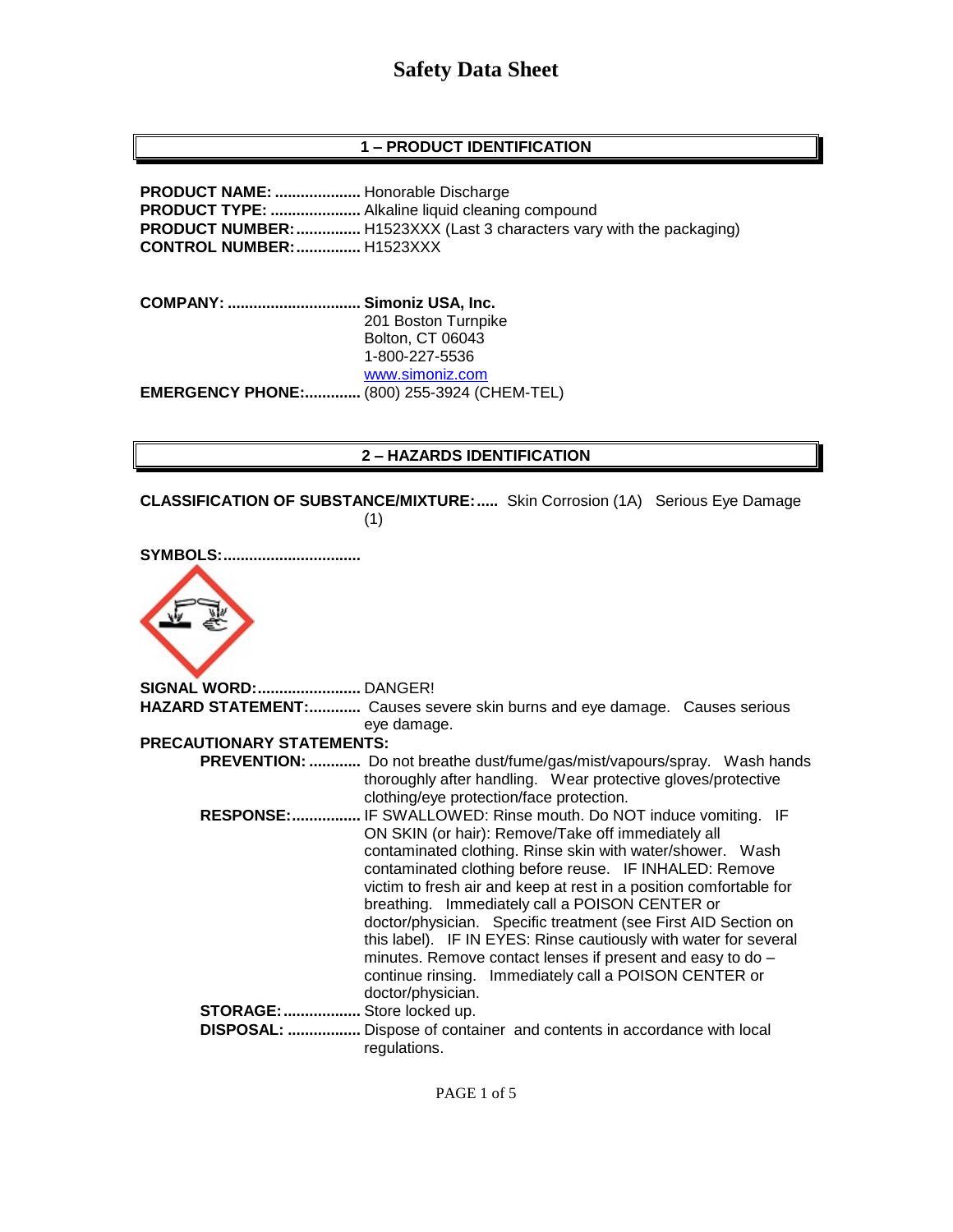# **1 – PRODUCT IDENTIFICATION**

**PRODUCT NAME: ....................** Honorable Discharge **PRODUCT TYPE: .....................** Alkaline liquid cleaning compound **PRODUCT NUMBER:...............** H1523XXX (Last 3 characters vary with the packaging) **CONTROL NUMBER:...............** H1523XXX

**COMPANY: ............................... Simoniz USA, Inc.** 201 Boston Turnpike Bolton, CT 06043 1-800-227-5536 [www.simoniz.com](http://www.simoniz.com/) **EMERGENCY PHONE:.............** (800) 255-3924 (CHEM-TEL)

### **2 – HAZARDS IDENTIFICATION**

**CLASSIFICATION OF SUBSTANCE/MIXTURE:.....** Skin Corrosion (1A) Serious Eye Damage (1)



**SIGNAL WORD:........................** DANGER! **HAZARD STATEMENT:............** Causes severe skin burns and eye damage. Causes serious eye damage. **PRECAUTIONARY STATEMENTS: PREVENTION: ............** Do not breathe dust/fume/gas/mist/vapours/spray. Wash hands thoroughly after handling. Wear protective gloves/protective clothing/eye protection/face protection.  **RESPONSE:................** IF SWALLOWED: Rinse mouth. Do NOT induce vomiting. IF ON SKIN (or hair): Remove/Take off immediately all contaminated clothing. Rinse skin with water/shower. Wash contaminated clothing before reuse. IF INHALED: Remove victim to fresh air and keep at rest in a position comfortable for breathing. Immediately call a POISON CENTER or doctor/physician. Specific treatment (see First AID Section on this label). IF IN EYES: Rinse cautiously with water for several minutes. Remove contact lenses if present and easy to do – continue rinsing. Immediately call a POISON CENTER or doctor/physician. **STORAGE:..................** Store locked up.  **DISPOSAL: .................** Dispose of container and contents in accordance with local regulations.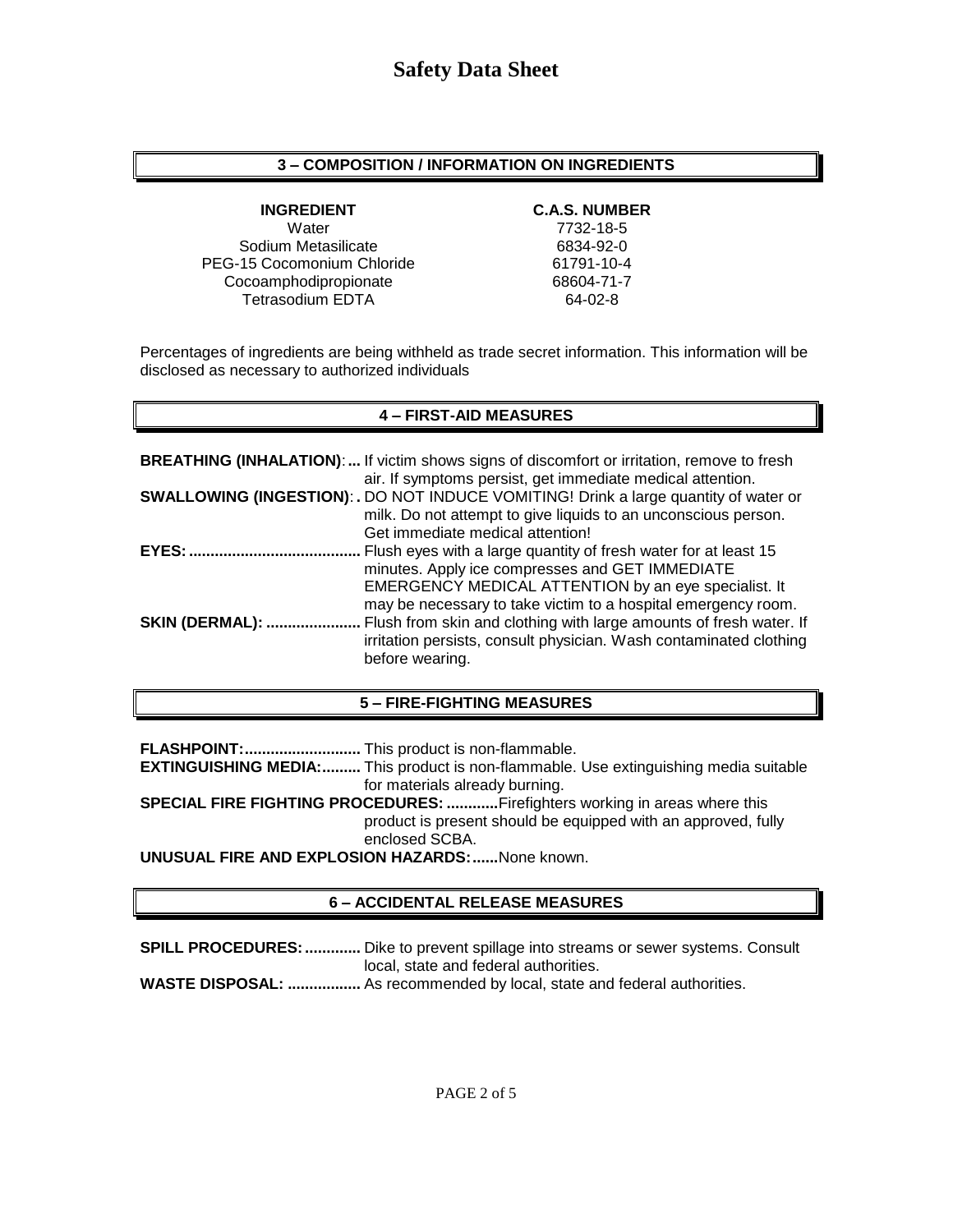### **3 – COMPOSITION / INFORMATION ON INGREDIENTS**

Water 7732-18-5 Sodium Metasilicate 6834-92-0 PEG-15 Cocomonium Chloride 61791-10-4 Cocoamphodipropionate 68604-71-7 Tetrasodium EDTA 64-02-8

### **INGREDIENT C.A.S. NUMBER**

Percentages of ingredients are being withheld as trade secret information. This information will be disclosed as necessary to authorized individuals

### **4 – FIRST-AID MEASURES**

|                        | <b>BREATHING (INHALATION):</b> If victim shows signs of discomfort or irritation, remove to fresh |
|------------------------|---------------------------------------------------------------------------------------------------|
|                        | air. If symptoms persist, get immediate medical attention.                                        |
|                        | <b>SWALLOWING (INGESTION): .</b> DO NOT INDUCE VOMITING! Drink a large quantity of water or       |
|                        | milk. Do not attempt to give liquids to an unconscious person.                                    |
|                        | Get immediate medical attention!                                                                  |
| EYES:                  | Flush eyes with a large quantity of fresh water for at least 15                                   |
|                        | minutes. Apply ice compresses and GET IMMEDIATE                                                   |
|                        | EMERGENCY MEDICAL ATTENTION by an eye specialist. It                                              |
|                        | may be necessary to take victim to a hospital emergency room.                                     |
| <b>SKIN (DERMAL): </b> | Flush from skin and clothing with large amounts of fresh water. If                                |
|                        | irritation persists, consult physician. Wash contaminated clothing                                |
|                        | before wearing.                                                                                   |

#### **5 – FIRE-FIGHTING MEASURES**

**FLASHPOINT:...........................** This product is non-flammable.

**EXTINGUISHING MEDIA:.........** This product is non-flammable. Use extinguishing media suitable for materials already burning.

**SPECIAL FIRE FIGHTING PROCEDURES: ............**Firefighters working in areas where this product is present should be equipped with an approved, fully enclosed SCBA.

**UNUSUAL FIRE AND EXPLOSION HAZARDS:......**None known.

# **6 – ACCIDENTAL RELEASE MEASURES**

**SPILL PROCEDURES:.............** Dike to prevent spillage into streams or sewer systems. Consult local, state and federal authorities.

**WASTE DISPOSAL: .................** As recommended by local, state and federal authorities.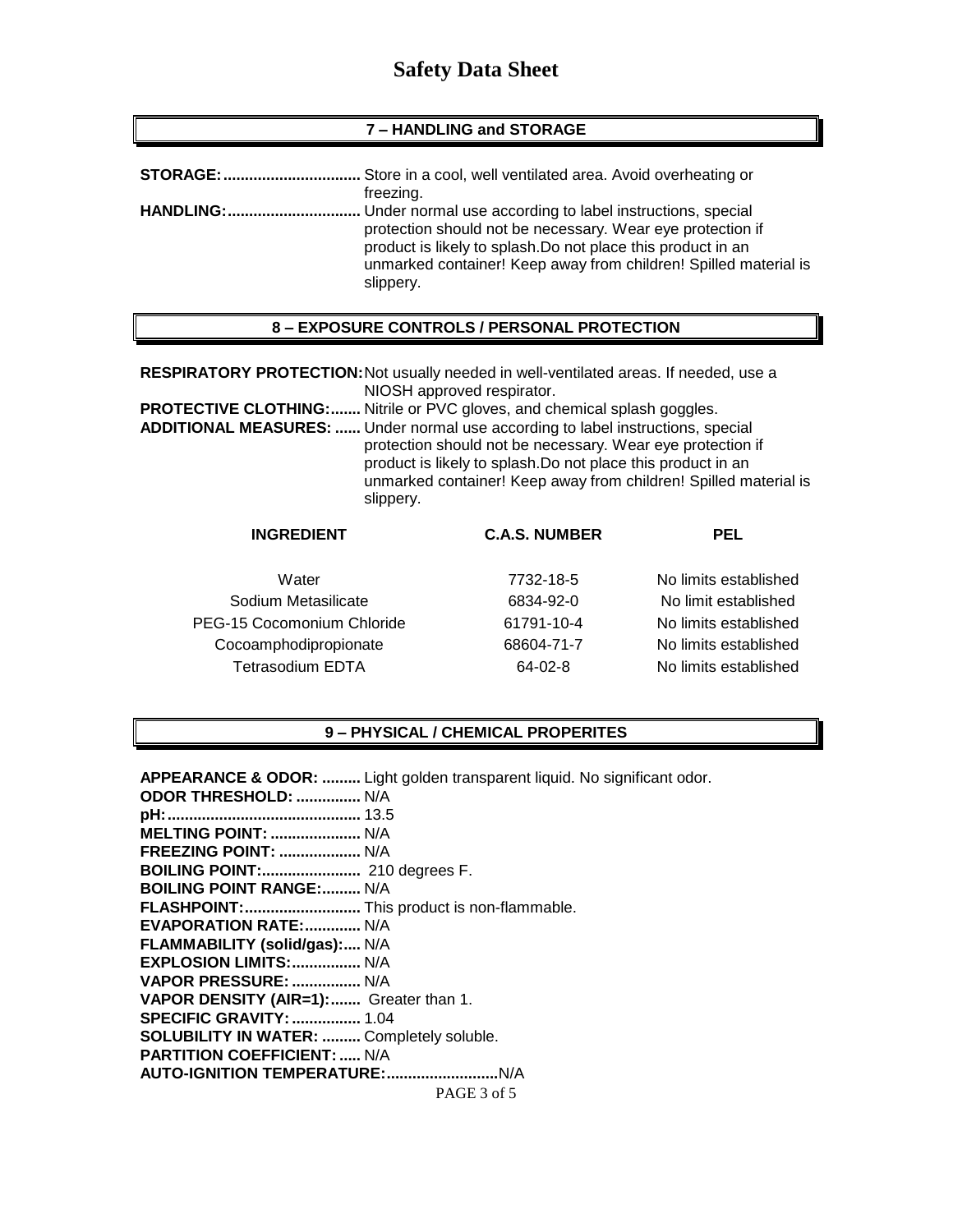#### **7 – HANDLING and STORAGE**

| freezing.                                                                                                                                                                                                   |
|-------------------------------------------------------------------------------------------------------------------------------------------------------------------------------------------------------------|
| protection should not be necessary. Wear eye protection if<br>product is likely to splash. Do not place this product in an<br>unmarked container! Keep away from children! Spilled material is<br>slippery. |

### **8 – EXPOSURE CONTROLS / PERSONAL PROTECTION**

**RESPIRATORY PROTECTION:**Not usually needed in well-ventilated areas. If needed, use a NIOSH approved respirator.

**PROTECTIVE CLOTHING:.......** Nitrile or PVC gloves, and chemical splash goggles.

**ADDITIONAL MEASURES: ......** Under normal use according to label instructions, special protection should not be necessary. Wear eye protection if product is likely to splash.Do not place this product in an unmarked container! Keep away from children! Spilled material is slippery.

| <b>INGREDIENT</b>          | <b>C.A.S. NUMBER</b> | PEL                   |
|----------------------------|----------------------|-----------------------|
| Water                      | 7732-18-5            | No limits established |
| Sodium Metasilicate        | 6834-92-0            | No limit established  |
| PEG-15 Cocomonium Chloride | 61791-10-4           | No limits established |
| Cocoamphodipropionate      | 68604-71-7           | No limits established |
| <b>Tetrasodium EDTA</b>    | 64-02-8              | No limits established |

#### **9 – PHYSICAL / CHEMICAL PROPERITES**

PAGE 3 of 5 **APPEARANCE & ODOR: .........** Light golden transparent liquid. No significant odor. **ODOR THRESHOLD: ...............** N/A **pH:.............................................** 13.5 **MELTING POINT: .....................** N/A **FREEZING POINT: ...................** N/A **BOILING POINT:.......................** 210 degrees F. **BOILING POINT RANGE:.........** N/A **FLASHPOINT:...........................** This product is non-flammable. **EVAPORATION RATE:.............** N/A **FLAMMABILITY (solid/gas):....** N/A **EXPLOSION LIMITS:................** N/A **VAPOR PRESSURE: ................** N/A **VAPOR DENSITY (AIR=1):.......** Greater than 1. **SPECIFIC GRAVITY:................** 1.04 **SOLUBILITY IN WATER: .........** Completely soluble. **PARTITION COEFFICIENT: .....** N/A **AUTO-IGNITION TEMPERATURE:..........................**N/A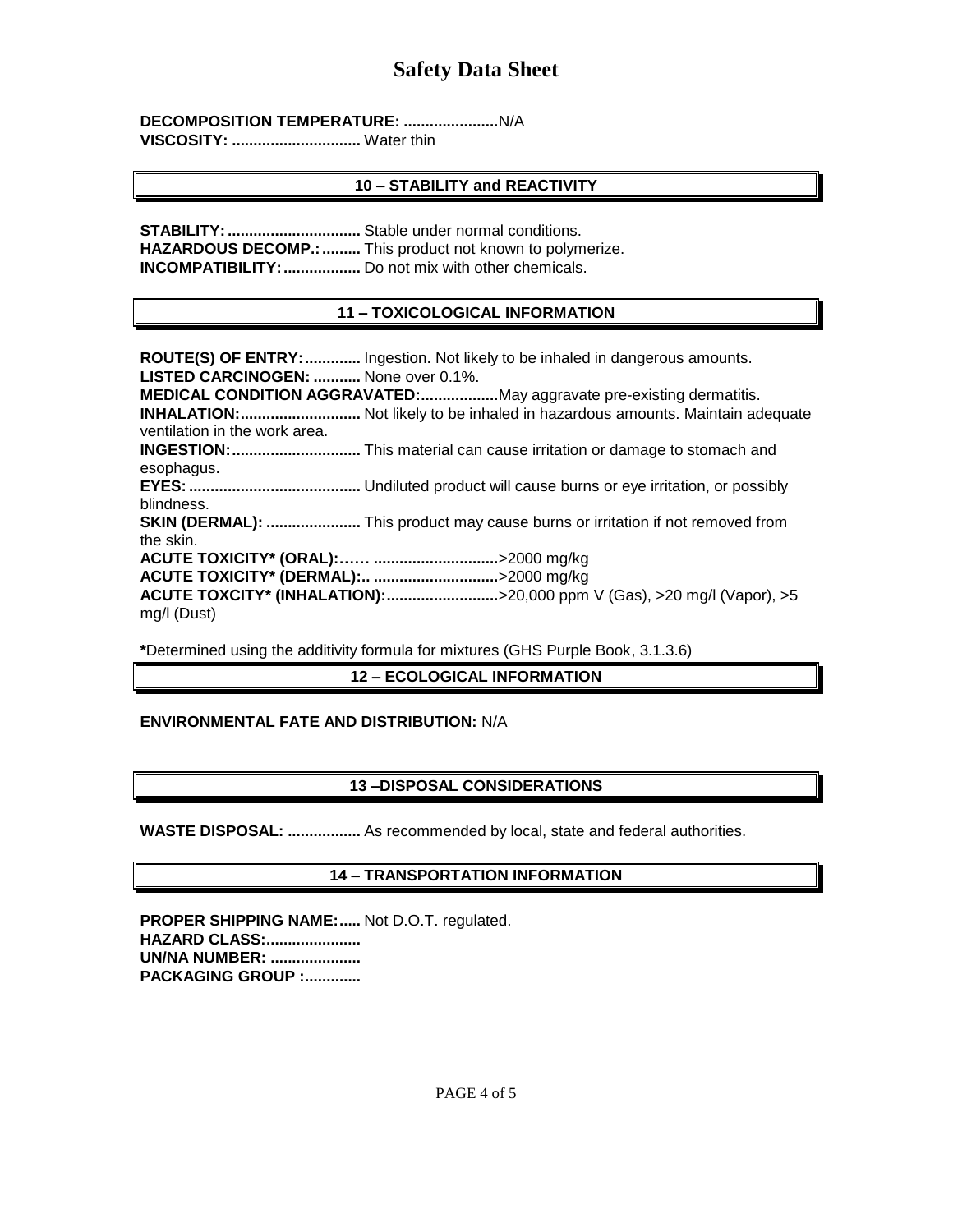**DECOMPOSITION TEMPERATURE: ......................**N/A

**VISCOSITY: ..............................** Water thin

# **10 – STABILITY and REACTIVITY**

**STABILITY:...............................** Stable under normal conditions. HAZARDOUS DECOMP.: .......... This product not known to polymerize. **INCOMPATIBILITY:..................** Do not mix with other chemicals.

# **11 – TOXICOLOGICAL INFORMATION**

**ROUTE(S) OF ENTRY:.............** Ingestion. Not likely to be inhaled in dangerous amounts. **LISTED CARCINOGEN: ...........** None over 0.1%. **MEDICAL CONDITION AGGRAVATED:..................**May aggravate pre-existing dermatitis. **INHALATION:............................** Not likely to be inhaled in hazardous amounts. Maintain adequate ventilation in the work area. **INGESTION:..............................** This material can cause irritation or damage to stomach and esophagus. **EYES:........................................** Undiluted product will cause burns or eye irritation, or possibly blindness. **SKIN (DERMAL): ......................** This product may cause burns or irritation if not removed from the skin. **ACUTE TOXICITY\* (ORAL):…… .............................**>2000 mg/kg **ACUTE TOXICITY\* (DERMAL):.. .............................**>2000 mg/kg **ACUTE TOXCITY\* (INHALATION):..........................**>20,000 ppm V (Gas), >20 mg/l (Vapor), >5 mg/l (Dust)

**\***Determined using the additivity formula for mixtures (GHS Purple Book, 3.1.3.6)

# **12 – ECOLOGICAL INFORMATION**

# **ENVIRONMENTAL FATE AND DISTRIBUTION:** N/A

# **13 –DISPOSAL CONSIDERATIONS**

**WASTE DISPOSAL: .................** As recommended by local, state and federal authorities.

# **14 – TRANSPORTATION INFORMATION**

**PROPER SHIPPING NAME:.....** Not D.O.T. regulated. **HAZARD CLASS:...................... UN/NA NUMBER: ..................... PACKAGING GROUP :.............**